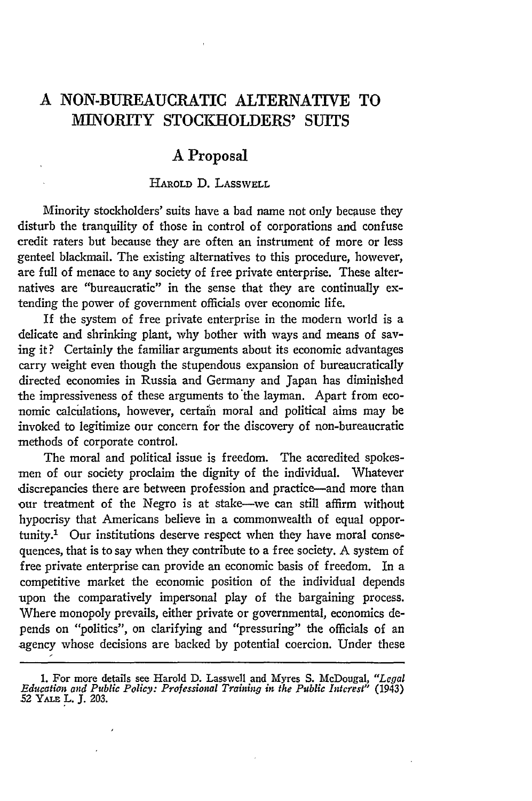# **A NON-BUREAUCRATIC** ALTERNATIVE TO MINORITY STOCKHOLDERS' SUITS

### **A** Proposal

### HAROLD D. LASSWELL

Minority stockholders' suits have a bad name not only because they disturb the tranquility of those in control of corporations and confuse credit raters but because they are often an instrument of more or less genteel blackmail. The existing alternatives to this procedure, however, are full of menace to any society of free private enterprise. These alternatives are "bureaucratic" in the sense that they are continually extending the power of government officials over economic life.

If the system of free private enterprise in the modern world is a delicate and shrinking plant, why bother with ways and means of saving it? Certainly the familiar arguments about its economic advantages carry weight even though the stupendous expansion of bureaucratically directed economies in Russia and Germany and Japan has diminished the impressiveness of these arguments to the layman. Apart from economic calculations, however, certain moral and political aims may be invoked to legitimize our concern for the discovery of non-bureaucratic methods of corporate control.

The moral and political issue is freedom. The accredited spokesmen of our society proclaim the dignity of the individual. Whatever discrepancies there are between profession and practice-and more than our treatment of the Negro is at stake-we can still affirm without hypocrisy that Americans believe in a commonwealth of equal opportunity.<sup>1</sup> Our institutions deserve respect when they have moral consequences, that is to say when they contribute to a free society. A system of free private enterprise can provide an economic basis of freedom. In a competitive market the economic position of the individual depends upon the comparatively impersonal play of the bargaining process. Where monopoly prevails, either private or governmental, economics depends on "politics", on clarifying and "pressuring" the officials of an agency whose decisions are backed by potential coercion. Under these **I**

**<sup>1.</sup>** For more details see Harold **D.** Lasswell and Myres **S.** McDougal, *"Legal Educatim and Public Policy: Professional Training in the Public Interest"* (1943) **52** YALE L. **J. 203.**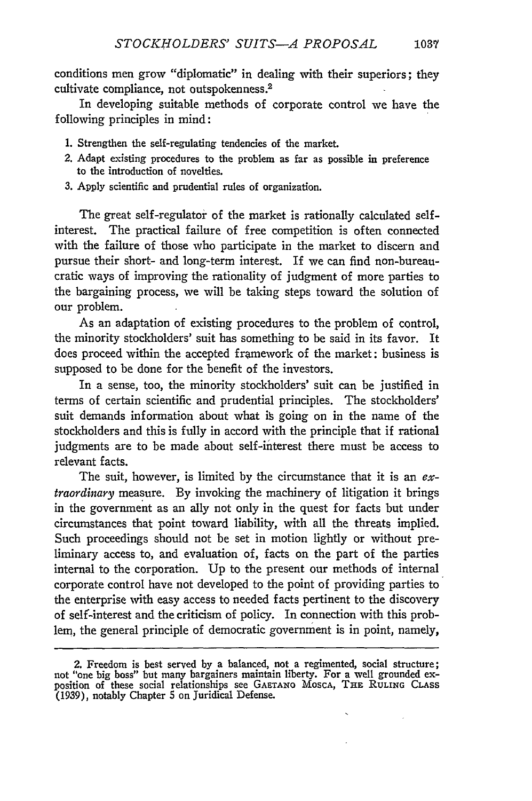conditions men grow "diplomatic" in dealing with their superiors; they cultivate compliance, not outspokenness.<sup>2</sup>

In developing suitable methods of corporate control we have the following principles in mind:

- **1.** Strengthen the self-regulating tendencies of the market.
- 2. Adapt existing procedures to the problem as far as possible in preference to the introduction of novelties.
- 3. Apply scientific and prudential rules of organization.

The great self-regulator of the market is rationally calculated selfinterest. The practical failure of free competition is often connected with the failure of those who participate in the market to discern and pursue their short- and long-term interest. If we can find non-bureaucratic ways of improving the rationality of judgment of more parties to the bargaining process, we will be taking steps toward the solution of our problem.

As an adaptation of existing procedures to the problem of control, the minority stockholders' suit has something to be said in its favor. It does proceed within the accepted framework of the market: business is supposed to be done for the benefit of the investors.

In a sense, too, the minority stockholders' suit can be justified in terms of certain scientific and prudential principles. The stockholders' suit demands information about what is going on in the name of the stockholders and this is fully in accord with the principle that if rational judgments are to be made about self-interest there must be access to relevant facts.

The suit, however, is limited **by** the circumstance that it is an *ex*traordinary measure. **By** invoking the machinery of litigation it brings in the government as an ally not only in the quest for facts but under circumstances that point toward liability, with all the threats implied. Such proceedings should not be set in motion lightly or without preliminary access to, and evaluation of, facts on the part of the parties internal to the corporation. Up to the present our methods of internal corporate control have not developed to the point of providing parties to the enterprise with easy access to needed facts pertinent to the discovery of self-interest and the criticism of policy. In connection with this problem, the general principle of democratic government is in point, namely,

<sup>2.</sup> Freedom is best served by a balanced, not a regimented, social structure; not "one big boss" but many bargainers maintain liberty. For a well grounded **ex-** position of these social relationships see GAETANO MOSCA, THE RULING **CLASS** (1939), notably Chapter **5** on Juridical Defense.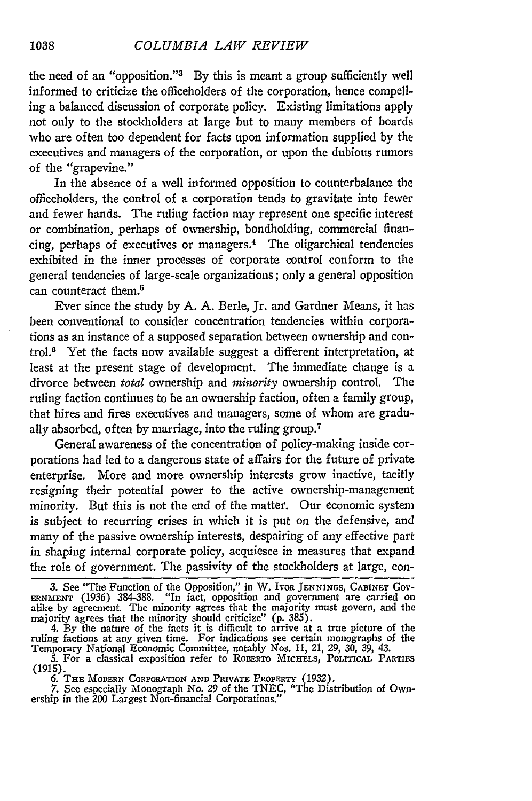the need of an "opposition."3 **By** this is meant a group sufficiently well informed to criticize the officeholders of the corporation, hence compelling a balanced discussion of corporate policy. Existing limitations apply not only to the stockholders at large but to many members of boards who are often too dependent for facts upon information supplied **by** the executives and managers of the corporation, or upon the dubious rumors of the "grapevine."

In the absence of a well informed opposition to counterbalance the officeholders, the control of a corporation tends to gravitate into fewer and fewer hands. The ruling faction may represent one specific interest or combination, perhaps of ownership, bondholding, commercial financing, perhaps of executives or managers.<sup>4</sup> The oligarchical tendencies exhibited in the inner processes of corporate control conform to the general tendencies of large-scale organizations; only a general opposition can counteract them.<sup>5</sup>

Ever since the study **by A.** A. Berle, Jr. and Gardner Means, it has been conventional to consider concentration tendencies within corporations as an instance of a supposed separation between ownership and control.6 Yet the facts now available suggest a different interpretation, at least at the present stage of development. The immediate change is a divorce between *total* ownership and *minority* ownership control. The ruling faction continues to be an ownership faction, often a family group, that hires and fires executives and managers, some of whom are gradually absorbed, often **by** marriage, into the ruling group. <sup>7</sup>

General awareness of the concentration of policy-making inside corporations had led to a dangerous state of affairs for the future of private enterprise. More and more ownership interests grow inactive, tacitly resigning their potential power to the active ownership-management minority. But this is not the end of the matter. Our economic system is subject to recurring crises in which it is put on the defensive, and many of the passive ownership interests, despairing of any effective part in shaping internal corporate policy, acquiesce in measures that expand the role of government. The passivity of the stockholders at large, con-

<sup>3.</sup> See "The Function of the Opposition," in W. IVoR JENNINGS, CABINET Gov-**ERNMENT** (1936) 384-388. "In fact, opposition and government are carried on alike **by** agreement. The minority agrees that the majority must govern, and the majority agrees that the minority should criticize" **(p.** 385). 4. **By** the nature of the facts it is difficult to arrive at a true picture of the

ruling factions at any given time. For indications see certain monographs of the Temporary National Economic Committee, notably Nos. *11,* 21, 29, *30, 39, 43.* **5.** For a classical exposition refer to **ROBERTO** MICHELS, POLITICAL PARTIES

<sup>(1915).&</sup>lt;br>
6. THE MODERN CORPORATION AND PRIVATE PROPERTY (1932).<br>
7. See especially Monograph No. 29 of the TNEC, "The Distribution of Own-<br>
ership in the 200 Largest Non-financial Corporations."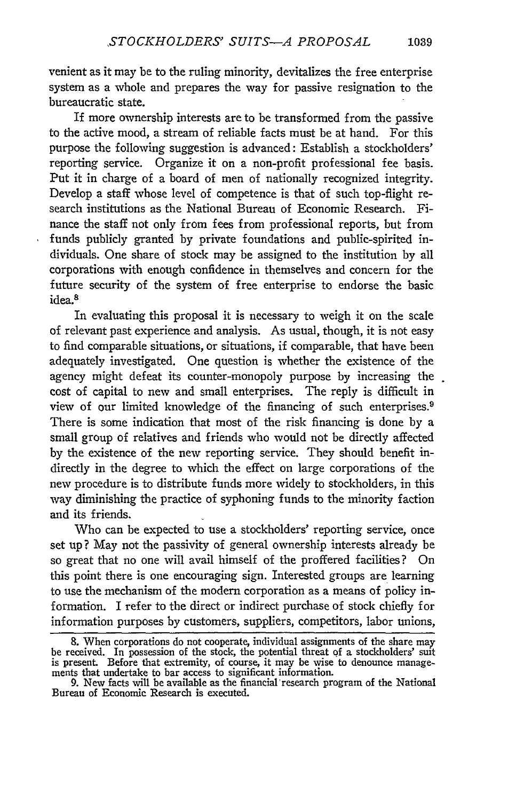venient as it may be to the ruling minority, devitalizes the free enterprise system as a whole and prepares the way for passive resignation to the bureaucratic state.

If more ownership interests are to be transformed from the passive to the active mood, a stream of reliable facts must be at hand. For this purpose the following suggestion is advanced: Establish a stockholders' reporting service. Organize it on a non-profit professional fee basis. Put it in charge of a board of men of nationally recognized integrity. Develop a staff whose level of competence is that of such top-flight research institutions as the National Bureau of Economic Research. Finance the staff not only from fees from professional reports, but from funds publicly granted by private foundations and public-spirited individuals. One share of stock may be assigned to the institution by all corporations with enough confidence in themselves and concern for the future security of the system of free enterprise to endorse the basic idea.<sup>8</sup>

In evaluating this proposal it is necessary to weigh it on the scale of relevant past experience and analysis. As usual, though, it is not easy to find comparable situations, or situations, if comparable, that have been adequately investigated. One question is whether the existence of the agency might defeat its counter-monopoly purpose by increasing the cost of capital to new and small enterprises. The reply is difficult in view of our limited knowledge of the financing of such enterprises.<sup>9</sup> There is some indication that most of the risk financing is done by a small group of relatives and friends who would not be directly affected by the existence of the new reporting service. They should benefit indirectly in the degree to which the effect on large corporations of the new procedure is to distribute funds more widely to stockholders, in this way diminishing the practice of syphoning funds to the minority faction and its friends.

Who can be expected to use a stockholders' reporting service, once set up? May not the passivity of general ownership interests already be so great that no one will avail himself of the proffered facilities? On this point there is one encouraging sign. Interested groups are learning to use the mechanism of the modern corporation as a means of policy information. I refer to the direct or indirect purchase of stock chiefly for information purposes by customers, suppliers, competitors, labor unions,

<sup>8.</sup> When corporations do not cooperate, individual assignments of the share may be received. In possession of the stock, the potential threat of a stockholders' suit is present. Before that extremity, of course, it may be wise to denounce managements that undertake to bar access to significant information.

<sup>9.</sup> New facts will be available as the financial 'research program of the National Bureau of Economic Research is executed.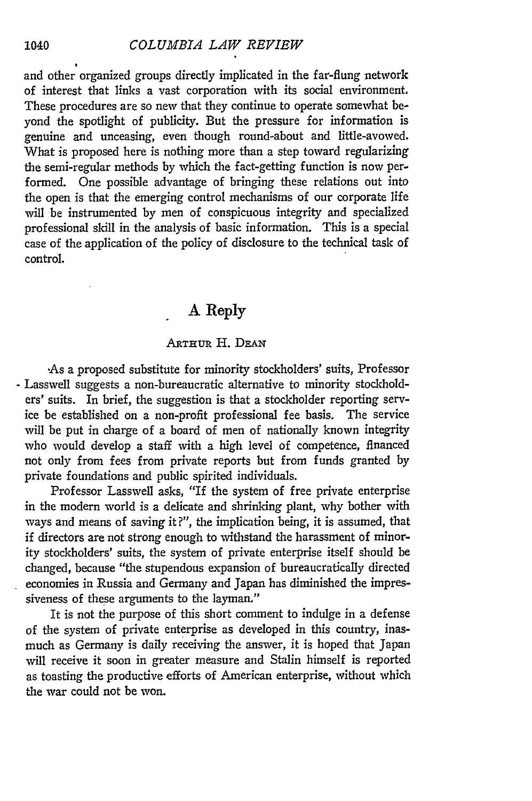### *COLUMBIA LAW REVIEW*

and other organized groups directly implicated in the far-flung network of interest that links a vast corporation with its social environment. These procedures are so new that they continue to operate somewhat beyond the spotlight of publicity. But the pressure for information is genuine and unceasing, even though round-about and little-avowed. What is proposed here is nothing more than a step toward regularizing the semi-regular methods by which the fact-getting function is now performed. One possible advantage of bringing these relations out into the open is that the emerging control mechanisms of our corporate life will be instrumented by men of conspicuous integrity and specialized professional skill in the analysis of basic information. This is a special case of the application of the policy of disclosure to the technical task of control.

## **A Reply**

#### **ARTHUR** H. DEAN

-As a proposed substitute for minority stockholders' suits, Professor - Lasswell suggests a non-bureaucratic alternative to minority stockholders' suits. In brief, the suggestion is that a stockholder reporting service be established on a non-profit professional fee basis. The service will be put in charge of a board of men of nationally known integrity who would develop a staff with a high level of competence, financed not only from fees from private reports but from funds granted by private foundations and public spirited individuals.

Professor Lasswell asks, "If the system of free private enterprise in the modern world is a delicate and shrinking plant, why bother with ways and means of saving it ?", the implication being, it is assumed, that if directors are not strong enough to withstand the harassment of minority stockholders' suits, the system of private enterprise itself should be changed, because "the stupendous expansion of bureaucratically directed economies in Russia and Germany and Japan has diminished the impressiveness of these arguments to the layman."

It is not the purpose of this short comment to indulge in a defense of the system of private enterprise as developed in this country, inasmuch as Germany is daily receiving the answer, it is hoped that Japan will receive it soon in greater measure and Stalin himself is reported as toasting the productive efforts of American enterprise, without which the war could not be won.

**1040**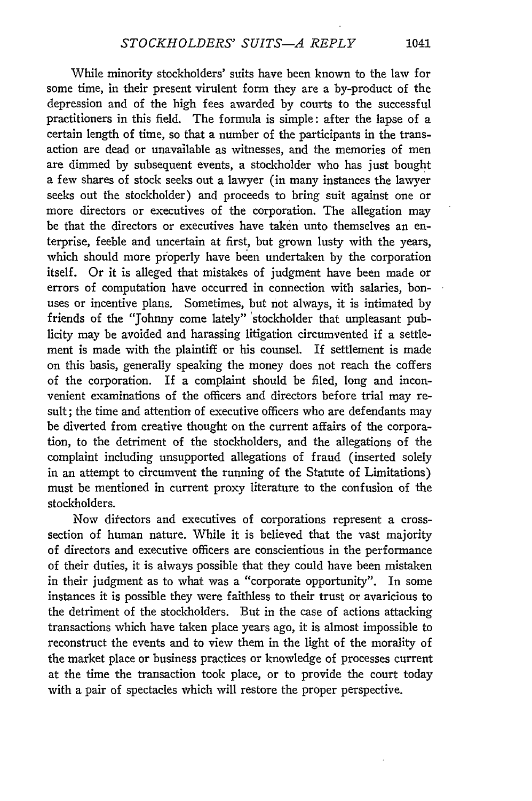While minority stockholders' suits have been known to the law for some time, in their present virulent form they are a by-product of the depression and of the high fees awarded by courts to the successful practitioners in this field. The formula is simple: after the lapse of a certain length of time, so that a number of the participants in the transaction are dead or unavailable as witnesses, and the memories of men are dimmed by subsequent events, a stockholder who has just bought a few shares of stock seeks out a lawyer (in many instances the lawyer seeks out the stockholder) and proceeds to bring suit against one or more directors or executives of the corporation. The allegation may be that the directors or executives have taken unto themselves an enterprise, feeble and uncertain at first, but grown lusty with the years, which should more properly have been undertaken by the corporation itself. Or it is alleged that mistakes of judgment have been made or errors of computation have occurred in connection with salaries, bonuses or incentive plans. Sometimes, but not always, it is intimated by friends of the "Johnny come lately" 'stockholder that unpleasant publicity may be avoided and harassing litigation circumvented if a settlement is made with the plaintiff or his counsel. If settlement is made on this basis, generally speaking the money does not reach the coffers of the corporation. If a complaint should be filed, long and inconvenient examinations of the officers and directors before trial may result; the time and attention of executive officers who are defendants may be diverted from creative thought on the current affairs of the corporation, to the detriment of the stockholders, and the allegations of the complaint including unsupported allegations of fraud (inserted solely in an attempt to circumvent the running of the Statute of Limitations) must be mentioned in current proxy literature to the confusion of the stockholders.

Now difectors and executives of corporations represent a crosssection of human nature. While it is believed that the vast majority of directors and executive officers are conscientious in the performance of their duties, it is always possible that they could have been mistaken in their judgment as to what was a "corporate opportunity". In some instances it is possible they were faithless to their trust or avaricious to the detriment of the stockholders. But in the case of actions attacking transactions which have taken place years ago, it is almost impossible to reconstruct the events and to view them in the light of the morality of the market place or business practices or knowledge of processes current at the time the transaction took place, or to provide the court today with a pair of spectacles which will restore the proper perspective.

1041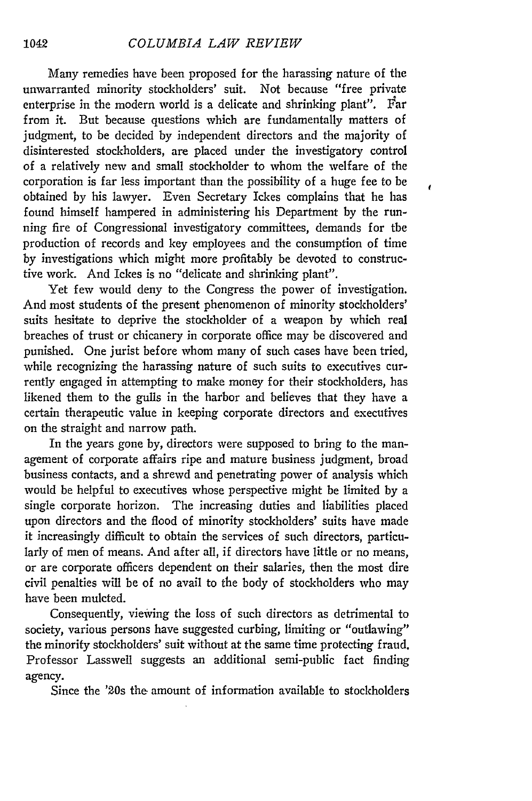Many remedies have been proposed for the harassing nature of the unwarranted minority stockholders' suit. Not because "free private enterprise in the modern world is a delicate and shrinking plant". Far from it. But because questions which are fundamentally matters of judgment, to be decided by independent directors and the majority of disinterested stockholders, are placed under the investigatory control of a relatively new and small stockholder to whom the welfare of the corporation is far less important than the possibility of a huge fee to be obtained by his lawyer. Even Secretary Ickes complains that he has found himself hampered in administering his Department by the running fire of Congressional investigatory committees, demands for the production of records and key employees and the consumption of time by investigations which might more profitably be devoted to constructive work. And Ickes is no "delicate and shrinking plant".

 $\epsilon$ 

Yet few would deny to the Congress the power of investigation. And most students of the present phenomenon of minority stockholders' suits hesitate to deprive the stockholder of a weapon by which real breaches of trust or chicanery in corporate office may be discovered and punished. One jurist before whom many of such cases have been tried, while recognizing the harassing nature of such suits to executives currently engaged in attempting to make money for their stockholders, has likened them to the gulls in the harbor and believes that they have a certain therapeutic value in keeping corporate directors and executives on the straight and narrow path.

In the years gone by, directors were supposed to bring to the management of corporate affairs ripe and mature business judgment, broad business contacts, and a shrewd and penetrating power of analysis which would be helpful to executives whose perspective might be limited by a single corporate horizon. The increasing duties and liabilities placed upon directors and the flood of minority stockholders' suits have made it increasingly difficult to obtain the services of such directors, particularly of men of means. And after all, if directors have little or no means, or are corporate officers dependent on their salaries, then the most dire civil penalties will be of no avail to the body of stockholders who may have been mulcted.

Consequently, viewing the loss of such directors as detrimental to society, various persons have suggested curbing, limiting or "outlawing" the minority stockholders' suit without at the same time protecting fraud. Professor Lasswell suggests an additional semi-public fact finding agency.

Since the '20s the amount of information available to stockholders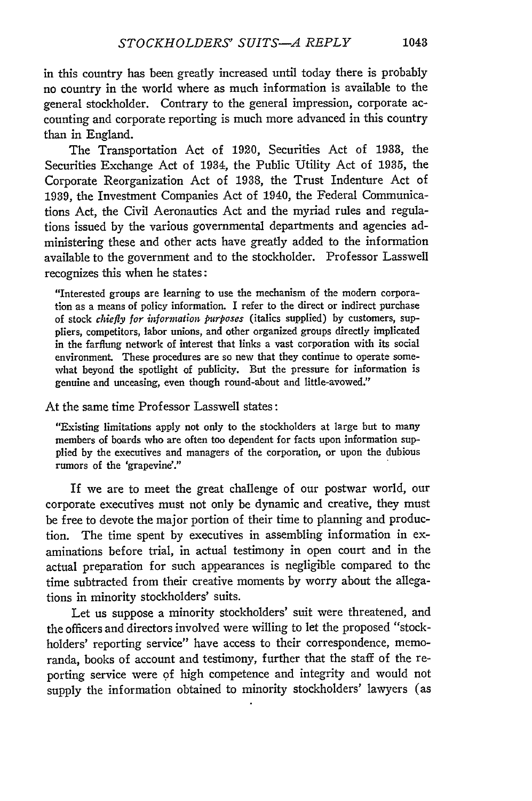in this country has been greatly increased until today there is probably no country in the world where as much information is available to the general stockholder. Contrary to the general impression, corporate accounting and corporate reporting is much more advanced in this country than in England.

The Transportation Act of **1920,** Securities Act of 1933, the Securities Exchange Act of 1934, the Public Utility Act of 1935, the Corporate Reorganization Act of 1938, the Trust Indenture Act of 1939, the Investment Companies Act of 1940, the Federal Communications Act, the Civil Aeronautics Act and the myriad rules and regulations issued by the various governmental departments and agencies administering these and other acts have greatly added to the information available to the government and to the stockholder. Professor Lasswell recognizes this when he states:

"Interested groups are learning to use the mechanism of the modern corporation as a means of policy information. I refer to the direct or indirect purchase of stock *chiefly for information purposes* (italics supplied) **by** customers, suppliers, competitors, labor unions, and other organized groups directly implicated in the farflung network of interest that links a vast corporation with its social environment. These procedures are so new that they continue to operate somewhat beyond the spotlight of publicity. But the pressure for information is genuine and unceasing, even though round-about and little-avowed."

At the same time Professor Lasswell states:

"Existing limitations apply not only to the stockholders at large but to many members of boards who are often too dependent for facts upon information supplied by the executives and managers of the corporation, or upon the dubious rumors of the 'grapevine'."

If we are to meet the great challenge of our postwar world, our corporate executives must not only be dynamic and creative, they must be free to devote the major portion of their time to planning and production. The time spent by executives in assembling information in examinations before trial, in actual testimony in open court and in the actual preparation for such appearances is negligible compared to the time subtracted from their creative moments by worry about the allegations in minority stockholders' suits.

Let us suppose a minority stockholders' suit were threatened, and the officers and directors involved were willing to let the proposed "stockholders' reporting service" have access to their correspondence, memoranda, books of account and testimony, further that the staff of the reporting service were of high competence and integrity and would not supply the information obtained to minority stockholders' lawyers (as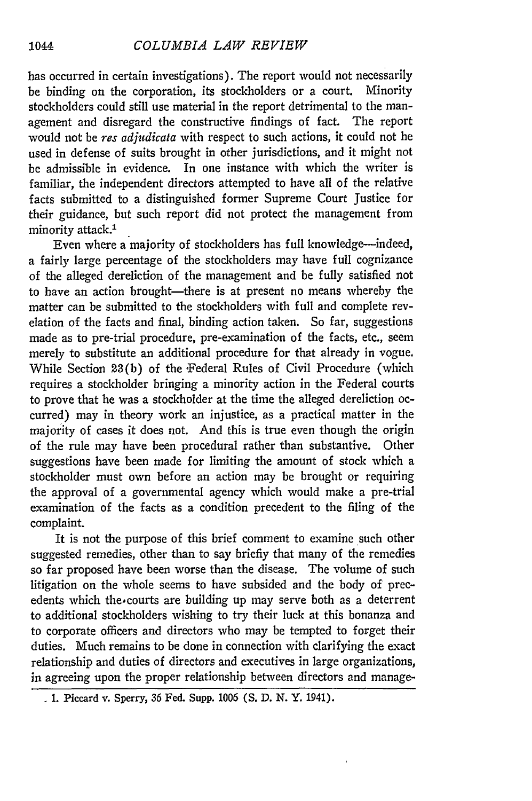has occurred in certain investigations). The report would not necessarily be binding on the corporation, its stockholders or a court. Minority stockholders could still use material in the report detrimental to the management and disregard the constructive findings of fact. The report would not be res *adjudicata* with respect to such actions, it could not be used in defense of suits brought in other jurisdictions, and it might not be admissible in evidence. In one instance with which the writer is familiar, the independent directors attempted to have all of the relative facts submitted to a distinguished former Supreme Court Justice for their guidance, but such report did not protect the management from minority attack.<sup>1</sup>

Even where a majority of stockholders has full knowledge-indeed, a fairly large percentage of the stockholders may have full cognizance of the alleged dereliction of the management and be fully satisfied not to have an action brought—there is at present no means whereby the matter can be submitted to the stockholders with full and complete revelation of the facts and final, binding action taken. So far, suggestions made as to pre-trial procedure, pre-examination of the facts, etc., seem merely to substitute an additional procedure for that already in vogue. While Section 23(b) of the 'Federal Rules of Civil Procedure (which requires a stockholder bringing a minority action in the Federal courts to prove that he was a stockholder at the time the alleged dereliction occurred) may in theory work an injustice, as a practical matter in the majority of cases it does not. And this is true even though the origin of the rule may have been procedural rather than substantive. Other suggestions have been made for limiting the amount of stock which a stockholder must own before an action may be brought or requiring the approval of a governmental agency which would make a pre-trial examination of the facts as a condition precedent to the filing of the complaint.

It is not the purpose of this brief comment to examine such other suggested remedies, other than to say briefly that many of the remedies so far proposed have been worse than the disease. The volume of such litigation on the whole seems to have subsided and the body of precedents which the-courts are building up may serve both as a deterrent to additional stockholders wishing to try their luck at this bonanza and to corporate officers and directors who may be tempted to forget their duties. Much remains to be done in connection with clarifying the exact relationship and duties of directors and executives in large organizations, in agreeing upon the proper relationship between directors and manage-

**<sup>-1.</sup>** Piccard v. Sperry, **36** Fed. Supp. **1006 (S. D. N.** Y. 1941).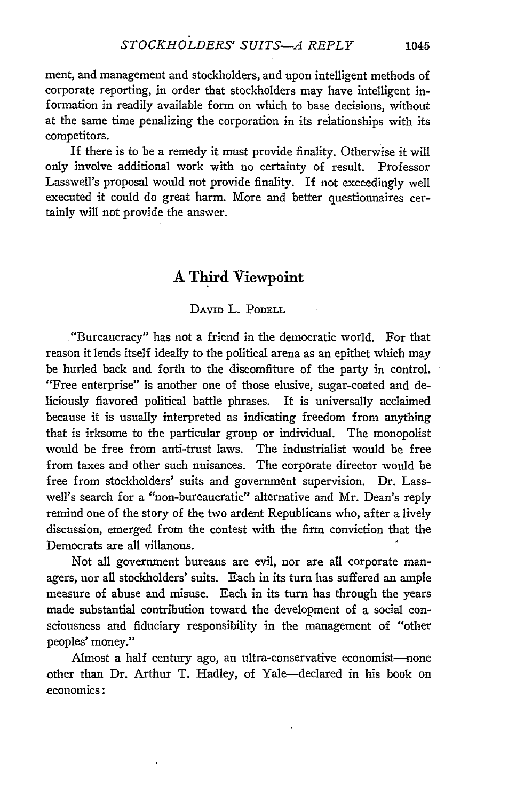ment, and management and stockholders, and upon intelligent methods of corporate reporting, in order that stockholders may have intelligent information in readily available form on which to base decisions, without at the same time penalizing the corporation in its relationships with its competitors.

If there is to be a remedy it must provide finality. Otherwise it will only involve additional work with no certainty of result. Professor Lasswell's proposal would not provide finality. If not exceedingly well executed it could do great harm. More and better questionnaires certainly will not provide the answer.

## **A Third** Viewpoint

### DAVID L. PODELL

,"Bureaucracy" has not a friend in the democratic world. For that reason it lends itself ideally to the political arena as an epithet which may be hurled back and forth to the discomfiture of the party in control. "Free enterprise" is another one of those elusive, sugar-coated and deliciously flavored political battle phrases. It is universally acclaimed because it is usually interpreted as indicating freedom from anything that is irksome to the particular group or individual. The monopolist would be free from anti-trust laws. The industrialist would be free from taxes and other such nuisances. The corporate director would be free from stockholders' suits and government supervision. Dr. Lasswell's search for a "non-bureaucratic" alternative and Mr. Dean's reply remind one of the story of the two ardent Republicans who, after a lively discussion, emerged from the contest with the firm conviction that the Democrats are all villanous.

Not all government bureaus are evil, nor are all corporate managers, nor all stockholders' suits. Each in its turn has suffered an ample measure of abuse and misuse. Each in its turn has through the years made substantial contribution toward the development of a social consciousness and fiduciary responsibility in the management of "other peoples' money."

Almost a half century ago, an ultra-conservative economist-none other than Dr. Arthur T. Hadley, of Yale-declared in his book on economics: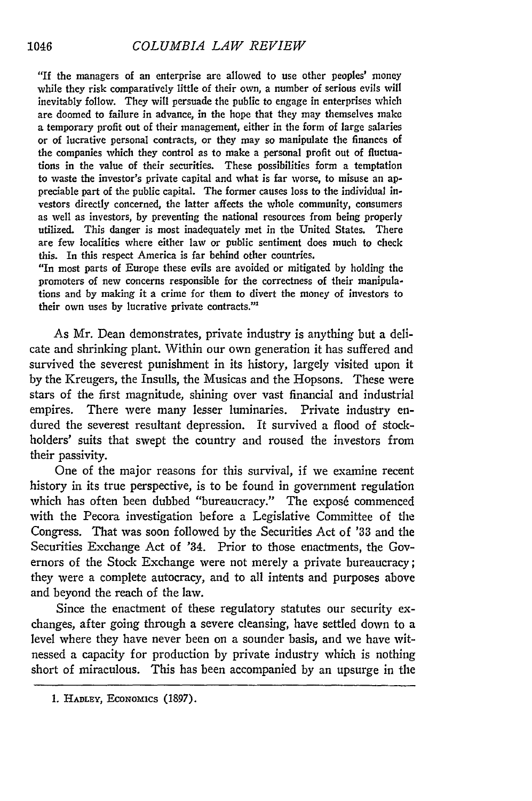"If the managers of an enterprise are allowed to use other peoples' money while they risk comparatively little of their own, a number of serious evils will inevitably follow. **They** will persuade the public to engage in enterprises which are doomed to failure in advance, in the hope that they may themselves make a temporary profit out of their management, either in the form of large salaries or of lucrative personal contracts, or they may so manipulate the finances of the companies which they control as to make a personal profit out of fluctuations in the value of their securities. These possibilities form a temptation to waste the investor's private capital and what is far worse, to misuse an appreciable part of the public capital. The former causes loss to the individual investors directly concerned, the latter affects the whole community, consumers as well as investors, **by** preventing the national resources from being properly utilized. This danger is most inadequately met in the United States. There are few localities where either law or public sentiment does much to check this. In this respect America is far behind other countries.

"In most parts of Europe these evils are avoided or mitigated **by** holding the promoters of new concerns responsible for the correctness of their manipulations and **by** making it a crime for them to divert the money of investors to their own uses **by** lucrative private contracts."'

As Mr. Dean demonstrates, private industry is anything but a delicate and shrinking plant. Within our own generation it has suffered and survived the severest punishment in its history, largely visited upon it **by** the Kreugers, the Insulls, the Musicas and the Hopsons. These were stars of the first magnitude, shining over vast financial and industrial empires. There were many lesser luminaries. Private industry endured the severest resultant depression. It survived a flood of stockholders' suits that swept the country and roused the investors from their passivity.

One of the major reasons for this survival, if we examine recent history in its true perspective, is to be found in government regulation which has often been dubbed "bureaucracy." The exposé commenced with the Pecora investigation before a Legislative Committee of the Congress. That was soon followed **by** the Securities Act of '33 and the Securities Exchange Act of '34. Prior to those enactments, the Governors of the Stock Exchange were not merely a private bureaucracy; they were a complete autocracy, and to all intents and purposes above and beyond the reach of the law.

Since the enactment of these regulatory statutes our security exchanges, after going through a severe cleansing, have settled down to a level where they have never been on a sounder basis, and we have witnessed a capacity for production **by** private industry which is nothing short of miraculous. This has been accompanied **by** an upsurge in the

<sup>1.</sup> **HADLEY, EcoNoMics** (1897).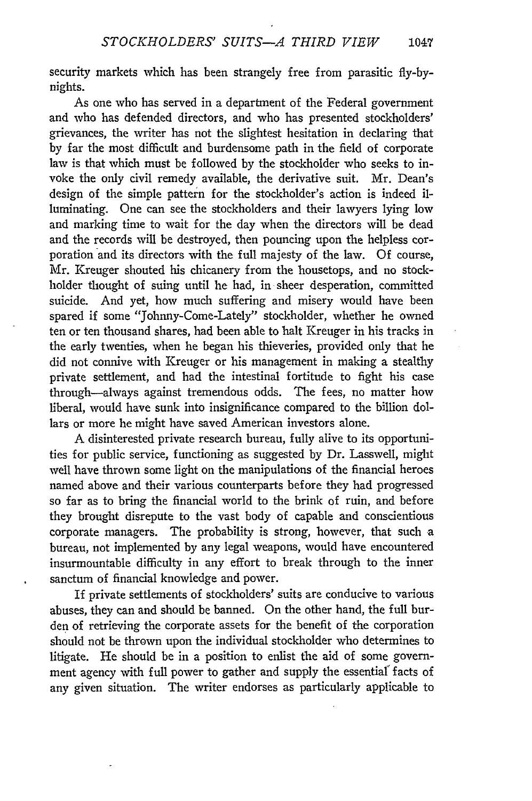security markets which has been strangely free from parasitic fly-bynights.

As one who has served in a department of the Federal government and who has defended directors, and who has presented stockholders' grievances, the writer has not the slightest hesitation in declaring that by far the most difficult and burdensome path in the field of corporate law is that which must be followed by the stockholder who seeks to invoke the only civil remedy available, the derivative suit. Mr. Dean's design of the simple pattern for the stockholder's action is indeed illuminating. One can see the stockholders and their lawyers lying low and marking time to wait for the day when the directors will be dead and the records will be destroyed, then pouncing upon the helpless corporation and its directors with the full majesty of the law. Of course, Mr. Kreuger shouted his chicanery from the housetops, and no stockholder thought of suing until he had, in sheer desperation, committed suicide. And yet, how much suffering and misery would have been spared if some "Johnny-Come-Lately" stockholder, whether he owned ten or ten thousand shares, had been able to halt Kreuger in his tracks in the early twenties, when he began his thieveries, provided only that he did not connive with Kreuger or his management in making a stealthy private settlement, and had the intestinal fortitude to fight his case through-always against tremendous odds. The fees, no matter how liberal, would have sunk into insignificance compared to the billion dollars or more he might have saved American investors alone.

A disinterested private research bureau, fully alive to its opportunities for public service, functioning as suggested by Dr. Lasswell, might well have thrown some light on the manipulations of the financial heroes named above and their various counterparts before they had progressed so far as to bring the financial world to the brink of ruin, and before they brought disrepute to the vast body of capable and conscientious corporate managers. The probability is strong, however, that such a bureau, not implemented by any legal weapons, would have encountered insurmountable difficulty in any effort to break through to the inner sanctum of financial knowledge and power.

If private settlements of stockholders' suits are conducive to various abuses, they can and should be banned. On the other hand, the full burden of retrieving the corporate assets for the benefit of the corporation should not be thrown upon the individual stockholder who determines to litigate. He should be in a position to enlist the aid of some government agency with full power to gather and supply the essential facts of any given situation. The writer endorses as particularly applicable to